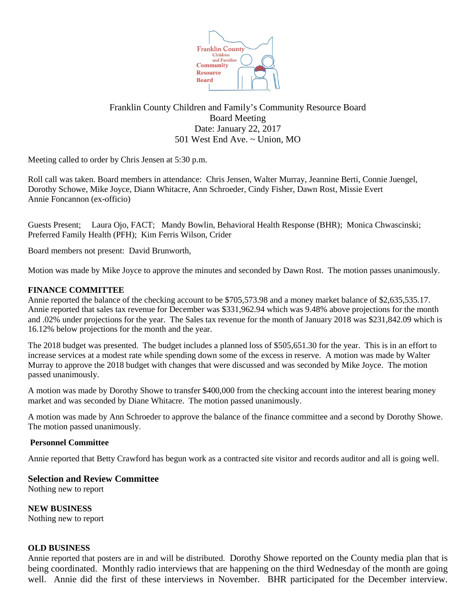

# Franklin County Children and Family's Community Resource Board Board Meeting Date: January 22, 2017 501 West End Ave. ~ Union, MO

Meeting called to order by Chris Jensen at 5:30 p.m.

Roll call was taken. Board members in attendance: Chris Jensen, Walter Murray, Jeannine Berti, Connie Juengel, Dorothy Schowe, Mike Joyce, Diann Whitacre, Ann Schroeder, Cindy Fisher, Dawn Rost, Missie Evert Annie Foncannon (ex-officio)

Guests Present; Laura Ojo, FACT; Mandy Bowlin, Behavioral Health Response (BHR); Monica Chwascinski; Preferred Family Health (PFH); Kim Ferris Wilson, Crider

Board members not present: David Brunworth,

Motion was made by Mike Joyce to approve the minutes and seconded by Dawn Rost. The motion passes unanimously.

### **FINANCE COMMITTEE**

Annie reported the balance of the checking account to be \$705,573.98 and a money market balance of \$2,635,535.17. Annie reported that sales tax revenue for December was \$331,962.94 which was 9.48% above projections for the month and .02% under projections for the year. The Sales tax revenue for the month of January 2018 was \$231,842.09 which is 16.12% below projections for the month and the year.

The 2018 budget was presented. The budget includes a planned loss of \$505,651.30 for the year. This is in an effort to increase services at a modest rate while spending down some of the excess in reserve. A motion was made by Walter Murray to approve the 2018 budget with changes that were discussed and was seconded by Mike Joyce. The motion passed unanimously.

A motion was made by Dorothy Showe to transfer \$400,000 from the checking account into the interest bearing money market and was seconded by Diane Whitacre. The motion passed unanimously.

A motion was made by Ann Schroeder to approve the balance of the finance committee and a second by Dorothy Showe. The motion passed unanimously.

### **Personnel Committee**

Annie reported that Betty Crawford has begun work as a contracted site visitor and records auditor and all is going well.

### **Selection and Review Committee**

Nothing new to report

**NEW BUSINESS** Nothing new to report

#### **OLD BUSINESS**

Annie reported that posters are in and will be distributed. Dorothy Showe reported on the County media plan that is being coordinated. Monthly radio interviews that are happening on the third Wednesday of the month are going well. Annie did the first of these interviews in November. BHR participated for the December interview.